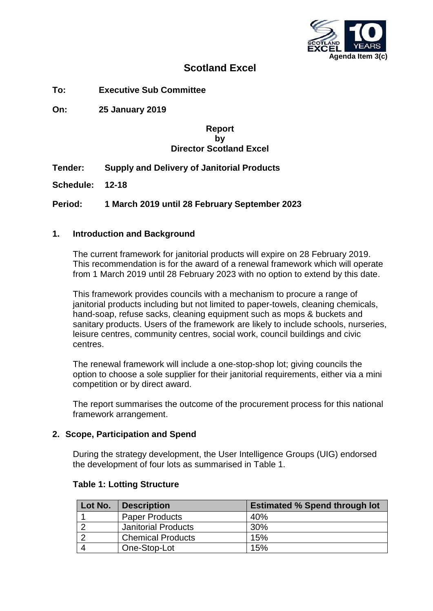

# **Scotland Excel**

**To: Executive Sub Committee**

**On: 25 January 2019**

#### **Report by Director Scotland Excel**

## **Tender: Supply and Delivery of Janitorial Products**

**Schedule: 12-18**

**Period: 1 March 2019 until 28 February September 2023**

#### **1. Introduction and Background**

The current framework for janitorial products will expire on 28 February 2019. This recommendation is for the award of a renewal framework which will operate from 1 March 2019 until 28 February 2023 with no option to extend by this date.

This framework provides councils with a mechanism to procure a range of janitorial products including but not limited to paper-towels, cleaning chemicals, hand-soap, refuse sacks, cleaning equipment such as mops & buckets and sanitary products. Users of the framework are likely to include schools, nurseries, leisure centres, community centres, social work, council buildings and civic centres.

The renewal framework will include a one-stop-shop lot; giving councils the option to choose a sole supplier for their janitorial requirements, either via a mini competition or by direct award.

The report summarises the outcome of the procurement process for this national framework arrangement.

#### **2. Scope, Participation and Spend**

During the strategy development, the User Intelligence Groups (UIG) endorsed the development of four lots as summarised in Table 1.

| Lot No. | <b>Description</b>         | <b>Estimated % Spend through lot</b> |
|---------|----------------------------|--------------------------------------|
|         | <b>Paper Products</b>      | 40%                                  |
|         | <b>Janitorial Products</b> | 30%                                  |
|         | <b>Chemical Products</b>   | 15%                                  |
|         | One-Stop-Lot               | 15%                                  |

#### **Table 1: Lotting Structure**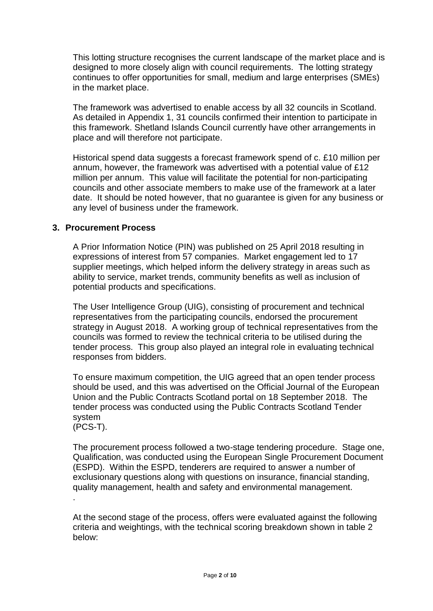This lotting structure recognises the current landscape of the market place and is designed to more closely align with council requirements. The lotting strategy continues to offer opportunities for small, medium and large enterprises (SMEs) in the market place.

The framework was advertised to enable access by all 32 councils in Scotland. As detailed in Appendix 1, 31 councils confirmed their intention to participate in this framework. Shetland Islands Council currently have other arrangements in place and will therefore not participate.

Historical spend data suggests a forecast framework spend of c. £10 million per annum, however, the framework was advertised with a potential value of £12 million per annum. This value will facilitate the potential for non-participating councils and other associate members to make use of the framework at a later date. It should be noted however, that no guarantee is given for any business or any level of business under the framework.

## **3. Procurement Process**

A Prior Information Notice (PIN) was published on 25 April 2018 resulting in expressions of interest from 57 companies. Market engagement led to 17 supplier meetings, which helped inform the delivery strategy in areas such as ability to service, market trends, community benefits as well as inclusion of potential products and specifications.

The User Intelligence Group (UIG), consisting of procurement and technical representatives from the participating councils, endorsed the procurement strategy in August 2018. A working group of technical representatives from the councils was formed to review the technical criteria to be utilised during the tender process. This group also played an integral role in evaluating technical responses from bidders.

To ensure maximum competition, the UIG agreed that an open tender process should be used, and this was advertised on the Official Journal of the European Union and the Public Contracts Scotland portal on 18 September 2018. The tender process was conducted using the Public Contracts Scotland Tender system (PCS-T).

The procurement process followed a two-stage tendering procedure. Stage one, Qualification, was conducted using the European Single Procurement Document (ESPD). Within the ESPD, tenderers are required to answer a number of exclusionary questions along with questions on insurance, financial standing, quality management, health and safety and environmental management. .

At the second stage of the process, offers were evaluated against the following criteria and weightings, with the technical scoring breakdown shown in table 2 below: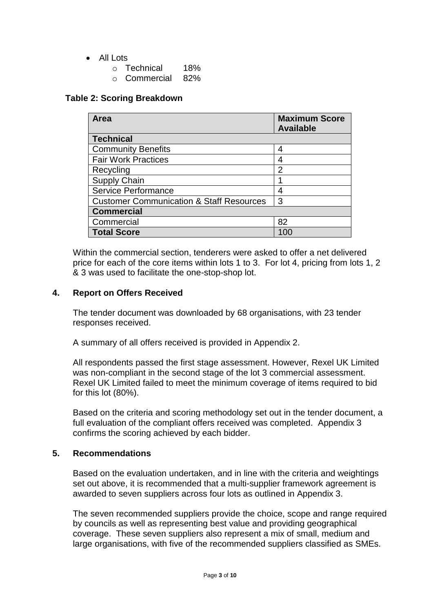## • All Lots

- o Technical 18%
- o Commercial 82%

### **Table 2: Scoring Breakdown**

| Area                                                | <b>Maximum Score</b><br><b>Available</b> |
|-----------------------------------------------------|------------------------------------------|
| <b>Technical</b>                                    |                                          |
| <b>Community Benefits</b>                           | 4                                        |
| <b>Fair Work Practices</b>                          | 4                                        |
| Recycling                                           | $\overline{2}$                           |
| <b>Supply Chain</b>                                 |                                          |
| <b>Service Performance</b>                          | 4                                        |
| <b>Customer Communication &amp; Staff Resources</b> | 3                                        |
| <b>Commercial</b>                                   |                                          |
| Commercial                                          | 82                                       |
| <b>Total Score</b>                                  |                                          |

Within the commercial section, tenderers were asked to offer a net delivered price for each of the core items within lots 1 to 3. For lot 4, pricing from lots 1, 2 & 3 was used to facilitate the one-stop-shop lot.

## **4. Report on Offers Received**

The tender document was downloaded by 68 organisations, with 23 tender responses received.

A summary of all offers received is provided in Appendix 2.

All respondents passed the first stage assessment. However, Rexel UK Limited was non-compliant in the second stage of the lot 3 commercial assessment. Rexel UK Limited failed to meet the minimum coverage of items required to bid for this lot (80%).

Based on the criteria and scoring methodology set out in the tender document, a full evaluation of the compliant offers received was completed. Appendix 3 confirms the scoring achieved by each bidder.

## **5. Recommendations**

Based on the evaluation undertaken, and in line with the criteria and weightings set out above, it is recommended that a multi-supplier framework agreement is awarded to seven suppliers across four lots as outlined in Appendix 3.

The seven recommended suppliers provide the choice, scope and range required by councils as well as representing best value and providing geographical coverage. These seven suppliers also represent a mix of small, medium and large organisations, with five of the recommended suppliers classified as SMEs.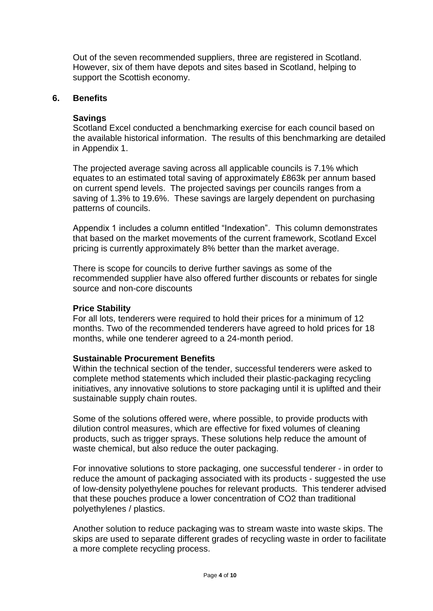Out of the seven recommended suppliers, three are registered in Scotland. However, six of them have depots and sites based in Scotland, helping to support the Scottish economy.

#### **6. Benefits**

#### **Savings**

Scotland Excel conducted a benchmarking exercise for each council based on the available historical information. The results of this benchmarking are detailed in Appendix 1.

The projected average saving across all applicable councils is 7.1% which equates to an estimated total saving of approximately £863k per annum based on current spend levels. The projected savings per councils ranges from a saving of 1.3% to 19.6%. These savings are largely dependent on purchasing patterns of councils.

Appendix 1 includes a column entitled "Indexation". This column demonstrates that based on the market movements of the current framework, Scotland Excel pricing is currently approximately 8% better than the market average.

There is scope for councils to derive further savings as some of the recommended supplier have also offered further discounts or rebates for single source and non-core discounts

#### **Price Stability**

For all lots, tenderers were required to hold their prices for a minimum of 12 months. Two of the recommended tenderers have agreed to hold prices for 18 months, while one tenderer agreed to a 24-month period.

#### **Sustainable Procurement Benefits**

Within the technical section of the tender, successful tenderers were asked to complete method statements which included their plastic-packaging recycling initiatives, any innovative solutions to store packaging until it is uplifted and their sustainable supply chain routes.

Some of the solutions offered were, where possible, to provide products with dilution control measures, which are effective for fixed volumes of cleaning products, such as trigger sprays. These solutions help reduce the amount of waste chemical, but also reduce the outer packaging.

For innovative solutions to store packaging, one successful tenderer - in order to reduce the amount of packaging associated with its products - suggested the use of low-density polyethylene pouches for relevant products. This tenderer advised that these pouches produce a lower concentration of CO2 than traditional polyethylenes / plastics.

Another solution to reduce packaging was to stream waste into waste skips. The skips are used to separate different grades of recycling waste in order to facilitate a more complete recycling process.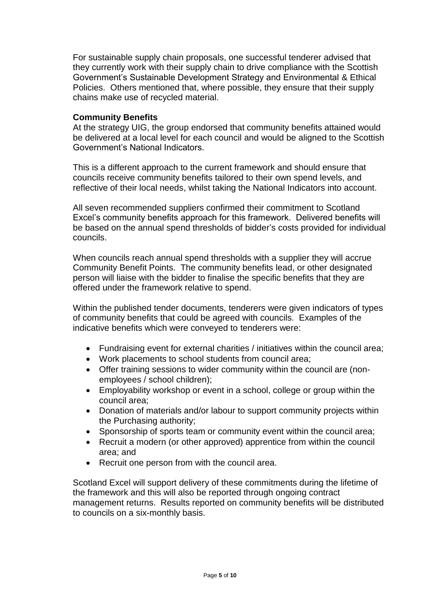For sustainable supply chain proposals, one successful tenderer advised that they currently work with their supply chain to drive compliance with the Scottish Government's Sustainable Development Strategy and Environmental & Ethical Policies. Others mentioned that, where possible, they ensure that their supply chains make use of recycled material.

## **Community Benefits**

At the strategy UIG, the group endorsed that community benefits attained would be delivered at a local level for each council and would be aligned to the Scottish Government's National Indicators.

This is a different approach to the current framework and should ensure that councils receive community benefits tailored to their own spend levels, and reflective of their local needs, whilst taking the National Indicators into account.

All seven recommended suppliers confirmed their commitment to Scotland Excel's community benefits approach for this framework. Delivered benefits will be based on the annual spend thresholds of bidder's costs provided for individual councils.

When councils reach annual spend thresholds with a supplier they will accrue Community Benefit Points. The community benefits lead, or other designated person will liaise with the bidder to finalise the specific benefits that they are offered under the framework relative to spend.

Within the published tender documents, tenderers were given indicators of types of community benefits that could be agreed with councils. Examples of the indicative benefits which were conveyed to tenderers were:

- Fundraising event for external charities / initiatives within the council area;
- Work placements to school students from council area;
- Offer training sessions to wider community within the council are (nonemployees / school children);
- Employability workshop or event in a school, college or group within the council area;
- Donation of materials and/or labour to support community projects within the Purchasing authority;
- Sponsorship of sports team or community event within the council area;
- Recruit a modern (or other approved) apprentice from within the council area; and
- Recruit one person from with the council area.

Scotland Excel will support delivery of these commitments during the lifetime of the framework and this will also be reported through ongoing contract management returns. Results reported on community benefits will be distributed to councils on a six-monthly basis.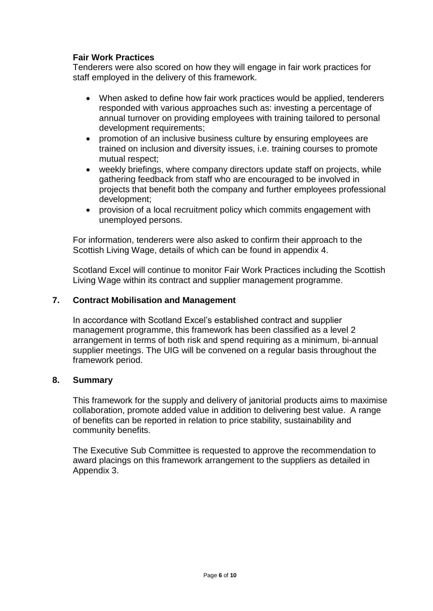## **Fair Work Practices**

Tenderers were also scored on how they will engage in fair work practices for staff employed in the delivery of this framework.

- When asked to define how fair work practices would be applied, tenderers responded with various approaches such as: investing a percentage of annual turnover on providing employees with training tailored to personal development requirements;
- promotion of an inclusive business culture by ensuring employees are trained on inclusion and diversity issues, i.e. training courses to promote mutual respect;
- weekly briefings, where company directors update staff on projects, while gathering feedback from staff who are encouraged to be involved in projects that benefit both the company and further employees professional development;
- provision of a local recruitment policy which commits engagement with unemployed persons.

For information, tenderers were also asked to confirm their approach to the Scottish Living Wage, details of which can be found in appendix 4.

Scotland Excel will continue to monitor Fair Work Practices including the Scottish Living Wage within its contract and supplier management programme.

## **7. Contract Mobilisation and Management**

In accordance with Scotland Excel's established contract and supplier management programme, this framework has been classified as a level 2 arrangement in terms of both risk and spend requiring as a minimum, bi-annual supplier meetings. The UIG will be convened on a regular basis throughout the framework period.

#### **8. Summary**

This framework for the supply and delivery of janitorial products aims to maximise collaboration, promote added value in addition to delivering best value. A range of benefits can be reported in relation to price stability, sustainability and community benefits.

The Executive Sub Committee is requested to approve the recommendation to award placings on this framework arrangement to the suppliers as detailed in Appendix 3.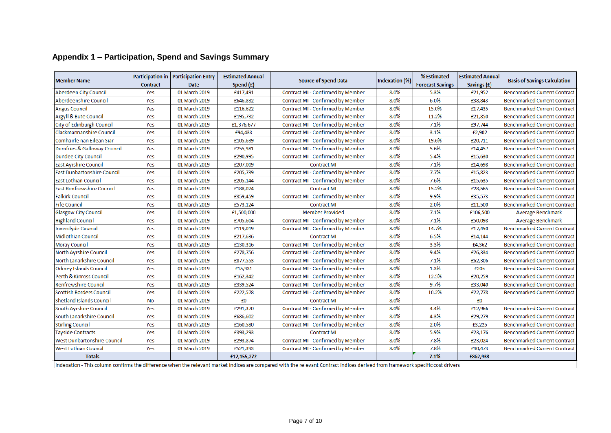|                                  |                 | Participation in   Participation Entry | <b>Estimated Annual</b> |                                   |                       | % Estimated             | <b>Estimated Annual</b> |                                     |  |
|----------------------------------|-----------------|----------------------------------------|-------------------------|-----------------------------------|-----------------------|-------------------------|-------------------------|-------------------------------------|--|
| <b>Member Name</b>               | <b>Contract</b> | <b>Date</b>                            | Spend (£)               | <b>Source of Spend Data</b>       | <b>Indexation (%)</b> | <b>Forecast Savings</b> | Savings (£)             | <b>Basis of Savings Calculation</b> |  |
| <b>Aberdeen City Council</b>     | Yes             | 01 March 2019                          | £417,491                | Contract MI - Confirmed by Member | 8.0%                  | 5.3%                    | £21,952                 | <b>Benchmarked Current Contract</b> |  |
| Aberdeenshire Council            | Yes             | 01 March 2019                          | £646,832                | Contract MI - Confirmed by Member | 8.0%                  | 6.0%                    | £38,843                 | <b>Benchmarked Current Contract</b> |  |
| <b>Angus Council</b>             | Yes             | 01 March 2019                          | £116,622                | Contract MI - Confirmed by Member | 8.0%                  | 15.0%                   | £17,435                 | <b>Benchmarked Current Contract</b> |  |
| <b>Argyll &amp; Bute Council</b> | Yes             | 01 March 2019                          | £195,732                | Contract MI - Confirmed by Member | 8.0%                  | 11.2%                   | £21,850                 | <b>Benchmarked Current Contract</b> |  |
| City of Edinburgh Council        | Yes             | 01 March 2019                          | £1,376,677              | Contract MI - Confirmed by Member | 8.0%                  | 7.1%                    | £97,744                 | <b>Benchmarked Current Contract</b> |  |
| Clackmannanshire Council         | Yes             | 01 March 2019                          | £94,433                 | Contract MI - Confirmed by Member | 8.0%                  | 3.1%                    | £2,902                  | <b>Benchmarked Current Contract</b> |  |
| Comhairle nan Eilean Siar        | Yes             | 01 March 2019                          | £105,639                | Contract MI - Confirmed by Member | 8.0%                  | 19.6%                   | £20,711                 | <b>Benchmarked Current Contract</b> |  |
| Dumfries & Galloway Council      | Yes             | 01 March 2019                          | £255,981                | Contract MI - Confirmed by Member | 8.0%                  | 5.6%                    | £14,457                 | <b>Benchmarked Current Contract</b> |  |
| <b>Dundee City Council</b>       | Yes             | 01 March 2019                          | £290,995                | Contract MI - Confirmed by Member | 8.0%                  | 5.4%                    | £15,630                 | <b>Benchmarked Current Contract</b> |  |
| <b>East Ayrshire Council</b>     | Yes             | 01 March 2019                          | £207,009                | <b>Contract MI</b>                | 8.0%                  | 7.1%                    | £14,698                 | <b>Benchmarked Current Contract</b> |  |
| East Dunbartonshire Council      | Yes             | 01 March 2019                          | £205,739                | Contract MI - Confirmed by Member | 8.0%                  | 7.7%                    | £15,823                 | <b>Benchmarked Current Contract</b> |  |
| <b>East Lothian Council</b>      | Yes             | 01 March 2019                          | £205,144                | Contract MI - Confirmed by Member | 8.0%                  | 7.6%                    | £15,635                 | <b>Benchmarked Current Contract</b> |  |
| <b>East Renfrewshire Council</b> | Yes             | 01 March 2019                          | £188,024                | <b>Contract MI</b>                | 8.0%                  | 15.2%                   | £28,565                 | <b>Benchmarked Current Contract</b> |  |
| <b>Falkirk Council</b>           | Yes             | 01 March 2019                          | £359,459                | Contract MI - Confirmed by Member | 8.0%                  | 9.9%                    | £35,573                 | <b>Benchmarked Current Contract</b> |  |
| <b>Fife Council</b>              | Yes             | 01 March 2019                          | £573,124                | <b>Contract MI</b>                | 8.0%                  | 2.0%                    | £11,500                 | <b>Benchmarked Current Contract</b> |  |
| <b>Glasgow City Council</b>      | Yes             | 01 March 2019                          | £1,500,000              | <b>Member Provided</b>            | 8.0%                  | 7.1%                    | £106,500                | <b>Average Benchmark</b>            |  |
| <b>Highland Council</b>          | Yes             | 01 March 2019                          | £705,604                | Contract MI - Confirmed by Member | 8.0%                  | 7.1%                    | £50,098                 | Average Benchmark                   |  |
| <b>Inverclyde Council</b>        | Yes             | 01 March 2019                          | £119,019                | Contract MI - Confirmed by Member | 8.0%                  | 14.7%                   | £17,450                 | <b>Benchmarked Current Contract</b> |  |
| <b>Midlothian Council</b>        | Yes             | 01 March 2019                          | £217,636                | <b>Contract MI</b>                | 8.0%                  | 6.5%                    | £14,144                 | <b>Benchmarked Current Contract</b> |  |
| <b>Moray Council</b>             | Yes             | 01 March 2019                          | £130,316                | Contract MI - Confirmed by Member | 8.0%                  | 3.3%                    | £4,362                  | <b>Benchmarked Current Contract</b> |  |
| <b>North Ayrshire Council</b>    | Yes             | 01 March 2019                          | £278,756                | Contract MI - Confirmed by Member | 8.0%                  | 9.4%                    | £26,334                 | <b>Benchmarked Current Contract</b> |  |
| North Lanarkshire Council        | Yes             | 01 March 2019                          | £877,553                | Contract MI - Confirmed by Member | 8.0%                  | 7.1%                    | £62,306                 | <b>Benchmarked Current Contract</b> |  |
| <b>Orkney Islands Council</b>    | Yes             | 01 March 2019                          | £15,931                 | Contract MI - Confirmed by Member | 8.0%                  | 1.3%                    | £206                    | <b>Benchmarked Current Contract</b> |  |
| Perth & Kinross Council          | Yes             | 01 March 2019                          | £162,342                | Contract MI - Confirmed by Member | 8.0%                  | 12.5%                   | £20,259                 | <b>Benchmarked Current Contract</b> |  |
| <b>Renfrewshire Council</b>      | Yes             | 01 March 2019                          | £339,524                | Contract MI - Confirmed by Member | 8.0%                  | 9.7%                    | £33,040                 | <b>Benchmarked Current Contract</b> |  |
| <b>Scottish Borders Council</b>  | Yes             | 01 March 2019                          | £222,578                | Contract MI - Confirmed by Member | 8.0%                  | 10.2%                   | £22,778                 | <b>Benchmarked Current Contract</b> |  |
| <b>Shetland Islands Council</b>  | <b>No</b>       | 01 March 2019                          | £0                      | <b>Contract MI</b>                | 8.0%                  |                         | £0                      |                                     |  |
| South Ayrshire Council           | Yes             | 01 March 2019                          | £291,370                | Contract MI - Confirmed by Member | 8.0%                  | 4.4%                    | £12,966                 | <b>Benchmarked Current Contract</b> |  |
| South Lanarkshire Council        | Yes             | 01 March 2019                          | £686,602                | Contract MI - Confirmed by Member | 8.0%                  | 4.3%                    | £29,279                 | <b>Benchmarked Current Contract</b> |  |
| <b>Stirling Council</b>          | Yes             | 01 March 2019                          | £160,580                | Contract MI - Confirmed by Member | 8.0%                  | 2.0%                    | £3,225                  | <b>Benchmarked Current Contract</b> |  |
| <b>Tayside Contracts</b>         | Yes             | 01 March 2019                          | £393,293                | <b>Contract MI</b>                | 8.0%                  | 5.9%                    | £23,176                 | <b>Benchmarked Current Contract</b> |  |
| West Dunbartonshire Council      | Yes             | 01 March 2019                          | £293,874                | Contract MI - Confirmed by Member | 8.0%                  | 7.8%                    | £23,024                 | <b>Benchmarked Current Contract</b> |  |
| <b>West Lothian Council</b>      | Yes             | 01 March 2019                          | £521,393                | Contract MI - Confirmed by Member | 8.0%                  | 7.8%                    | £40,473                 | <b>Benchmarked Current Contract</b> |  |
| <b>Totals</b>                    |                 |                                        | £12,155,272             |                                   |                       | 7.1%                    | £862,938                |                                     |  |

# **Appendix 1 – Participation, Spend and Savings Summary**

Indexation - This column confirms the difference when the relevant market indices are compared with the relevant Contract indices derived from framework specific cost drivers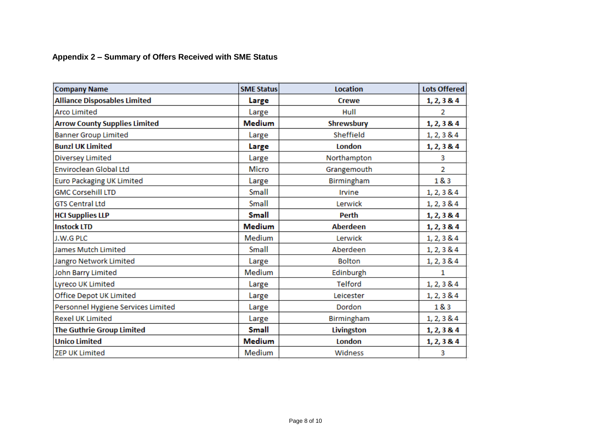## **Appendix 2 – Summary of Offers Received with SME Status**

| <b>Company Name</b>                  | <b>SME Status</b> | <b>Location</b> | <b>Lots Offered</b> |
|--------------------------------------|-------------------|-----------------|---------------------|
| <b>Alliance Disposables Limited</b>  | Large             | <b>Crewe</b>    | 1, 2, 3 & 4         |
| <b>Arco Limited</b>                  | Large             | Hull            | 2                   |
| <b>Arrow County Supplies Limited</b> | <b>Medium</b>     | Shrewsbury      | 1, 2, 3 & 4         |
| <b>Banner Group Limited</b>          | Large             | Sheffield       | 1, 2, 3 & 4         |
| <b>Bunzl UK Limited</b>              | Large             | London          | 1, 2, 3 & 4         |
| Diversey Limited                     | Large             | Northampton     | 3                   |
| <b>Enviroclean Global Ltd</b>        | <b>Micro</b>      | Grangemouth     | 2                   |
| <b>Euro Packaging UK Limited</b>     | Large             | Birmingham      | 18.3                |
| <b>GMC Corsehill LTD</b>             | Small             | Irvine          | 1, 2, 3 & 4         |
| <b>GTS Central Ltd</b>               | Small             | Lerwick         | 1, 2, 3 & 4         |
| <b>HCI Supplies LLP</b>              | <b>Small</b>      | <b>Perth</b>    | 1, 2, 3 & 4         |
| <b>Instock LTD</b>                   | <b>Medium</b>     | <b>Aberdeen</b> | 1, 2, 3 & 4         |
| J.W.G PLC                            | Medium            | Lerwick         | 1, 2, 3 & 4         |
| James Mutch Limited                  | Small             | Aberdeen        | 1, 2, 3 & 4         |
| Jangro Network Limited               | Large             | <b>Bolton</b>   | 1, 2, 3 & 4         |
| John Barry Limited                   | Medium            | Edinburgh       | 1.                  |
| Lyreco UK Limited                    | Large             | <b>Telford</b>  | 1, 2, 3 & 4         |
| Office Depot UK Limited              | Large             | Leicester       | 1, 2, 3 & 4         |
| Personnel Hygiene Services Limited   | Large             | Dordon          | 1&3                 |
| <b>Rexel UK Limited</b>              | Large             | Birmingham      | 1, 2, 3 & 4         |
| The Guthrie Group Limited            | <b>Small</b>      | Livingston      | 1, 2, 3 & 4         |
| <b>Unico Limited</b>                 | <b>Medium</b>     | London          | 1, 2, 3 & 4         |
| <b>ZEP UK Limited</b>                | <b>Medium</b>     | Widness         | 3                   |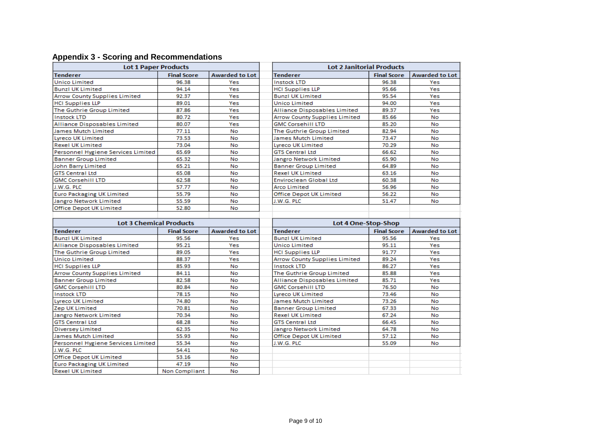|  |  | <b>Appendix 3 - Scoring and Recommendations</b> |  |
|--|--|-------------------------------------------------|--|
|--|--|-------------------------------------------------|--|

| <b>Lot 1 Paper Products</b>                                 |                    |                        | <b>Lot 2 Janitorial Products</b>     |                    |                       |  |
|-------------------------------------------------------------|--------------------|------------------------|--------------------------------------|--------------------|-----------------------|--|
| <b>Tenderer</b>                                             | <b>Final Score</b> | <b>Awarded to Lot</b>  | Tenderer                             | <b>Final Score</b> | <b>Awarded to Lot</b> |  |
| <b>Unico Limited</b>                                        | 96.38              | Yes                    | <b>Instock LTD</b>                   | 96.38              | Yes                   |  |
| <b>Bunzl UK Limited</b>                                     | 94.14              | Yes                    | <b>HCI Supplies LLP</b>              | 95.66              | Yes                   |  |
| <b>Arrow County Supplies Limited</b>                        | 92.37              | Yes                    | <b>Bunzl UK Limited</b>              | 95.54              | Yes                   |  |
| <b>HCI Supplies LLP</b>                                     | 89.01              | Yes                    | <b>Unico Limited</b>                 | 94.00              | Yes                   |  |
| The Guthrie Group Limited                                   | 87.86              | Yes                    | Alliance Disposables Limited         | 89.37              | Yes                   |  |
| <b>Instock LTD</b>                                          | 80.72              | Yes                    | Arrow County Supplies Limited        | 85.66              | No                    |  |
| <b>Alliance Disposables Limited</b>                         | 80.07              | Yes                    | <b>GMC Corsehill LTD</b>             | 85.20              | No                    |  |
| <b>James Mutch Limited</b>                                  | 77.11              | <b>No</b>              | The Guthrie Group Limited            | 82.94              | No                    |  |
| <b>Lyreco UK Limited</b>                                    | 73.53              | <b>No</b>              | James Mutch Limited                  | 73.47              | No                    |  |
| <b>Rexel UK Limited</b>                                     | 73.04              | No                     | Lyreco UK Limited                    | 70.29              | No                    |  |
| Personnel Hygiene Services Limited                          | 65.69              | No                     | <b>GTS Central Ltd</b>               | 66.62              | No                    |  |
| <b>Banner Group Limited</b>                                 | 65.32              | <b>No</b>              | Jangro Network Limited               | 65.90              | No                    |  |
| John Barry Limited                                          | 65.21              | No                     | <b>Banner Group Limited</b>          | 64.89              | No                    |  |
| <b>GTS Central Ltd</b>                                      | 65.08              | No                     | <b>Rexel UK Limited</b>              | 63.16              | No                    |  |
| <b>GMC Corsehill LTD</b>                                    | 62.58              | <b>No</b>              | Enviroclean Global Ltd               | 60.38              | No                    |  |
| J.W.G. PLC                                                  | 57.77              | No                     | Arco Limited                         | 56.96              | No                    |  |
| <b>Euro Packaging UK Limited</b>                            | 55.79              | No                     | Office Depot UK Limited              | 56.22              | No                    |  |
| Jangro Network Limited                                      | 55.59              | <b>No</b>              | J.W.G. PLC                           | 51.47              | No                    |  |
| <b>Office Depot UK Limited</b>                              | 52.80              | <b>No</b>              |                                      |                    |                       |  |
|                                                             |                    |                        |                                      |                    |                       |  |
| <b>Lot 3 Chemical Products</b>                              |                    |                        |                                      |                    |                       |  |
|                                                             |                    |                        | Lot 4 One-Stop-Shop                  |                    |                       |  |
| <b>Tenderer</b>                                             | <b>Final Score</b> | <b>Awarded to Lot</b>  | <b>Tenderer</b>                      | <b>Final Score</b> | <b>Awarded to Lot</b> |  |
| <b>Bunzl UK Limited</b>                                     | 95.56              | Yes                    | <b>Bunzl UK Limited</b>              | 95.56              | Yes                   |  |
| Alliance Disposables Limited                                | 95.21              | Yes                    | Unico Limited                        | 95.11              | Yes                   |  |
| The Guthrie Group Limited                                   | 89.05              | Yes                    | <b>HCI Supplies LLP</b>              | 91.77              | Yes                   |  |
| <b>Unico Limited</b>                                        | 88.37              | Yes                    | <b>Arrow County Supplies Limited</b> | 89.24              | Yes                   |  |
| <b>HCI Supplies LLP</b>                                     | 85.93              | No                     | <b>Instock LTD</b>                   | 86.27              | Yes                   |  |
| Arrow County Supplies Limited                               | 84.11              | No                     | The Guthrie Group Limited            | 85.88              | Yes                   |  |
| <b>Banner Group Limited</b>                                 | 82.58              | No                     | Alliance Disposables Limited         | 85.71              | Yes                   |  |
| <b>GMC Corsehill LTD</b>                                    | 80.84              | No                     | <b>GMC Corsehill LTD</b>             | 76.50              | No                    |  |
| <b>Instock LTD</b>                                          | 78.15              | No                     | <b>Lyreco UK Limited</b>             | 73.46              | No                    |  |
| <b>Lyreco UK Limited</b>                                    | 74.80              | No                     | James Mutch Limited                  | 73.26              | No                    |  |
| Zep UK Limited                                              | 70.81              | No                     | <b>Banner Group Limited</b>          | 67.33              | No                    |  |
| Jangro Network Limited                                      | 70.34              | No                     | <b>Rexel UK Limited</b>              | 67.24              | No                    |  |
| <b>GTS Central Ltd</b>                                      | 68.28              | No                     | <b>GTS Central Ltd</b>               | 66.45              | No                    |  |
| <b>Diversey Limited</b>                                     | 62.35              | <b>No</b>              | Jangro Network Limited               | 64.78              | No                    |  |
| James Mutch Limited                                         | 55.93              | No                     | <b>Office Depot UK Limited</b>       | 57.12              | No                    |  |
| Personnel Hygiene Services Limited                          | 55.34              | No                     | J.W.G. PLC                           | 55.09              | No                    |  |
| J.W.G. PLC                                                  | 54.41              | <b>No</b>              |                                      |                    |                       |  |
| <b>Office Depot UK Limited</b>                              | 53.16              | No                     |                                      |                    |                       |  |
| <b>Euro Packaging UK Limited</b><br><b>Rexel UK Limited</b> | 47.19              | <b>No</b><br><b>No</b> |                                      |                    |                       |  |